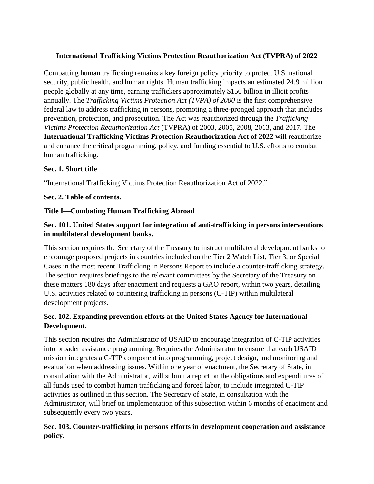# **International Trafficking Victims Protection Reauthorization Act (TVPRA) of 2022**

Combatting human trafficking remains a key foreign policy priority to protect U.S. national security, public health, and human rights. Human trafficking impacts an estimated 24.9 million people globally at any time, earning traffickers approximately \$150 billion in illicit profits annually. The *Trafficking Victims Protection Act (TVPA) of 2000* is the first comprehensive federal law to address trafficking in persons, promoting a three-pronged approach that includes prevention, protection, and prosecution. The Act was reauthorized through the *Trafficking Victims Protection Reauthorization Act* (TVPRA) of 2003, 2005, 2008, 2013, and 2017. The **International Trafficking Victims Protection Reauthorization Act of 2022** will reauthorize and enhance the critical programming, policy, and funding essential to U.S. efforts to combat human trafficking.

#### **Sec. 1. Short title**

"International Trafficking Victims Protection Reauthorization Act of 2022."

#### **Sec. 2. Table of contents.**

### **Title I—Combating Human Trafficking Abroad**

## **Sec. 101. United States support for integration of anti-trafficking in persons interventions in multilateral development banks.**

This section requires the Secretary of the Treasury to instruct multilateral development banks to encourage proposed projects in countries included on the Tier 2 Watch List, Tier 3, or Special Cases in the most recent Trafficking in Persons Report to include a counter-trafficking strategy. The section requires briefings to the relevant committees by the Secretary of the Treasury on these matters 180 days after enactment and requests a GAO report, within two years, detailing U.S. activities related to countering trafficking in persons (C-TIP) within multilateral development projects.

## **Sec. 102. Expanding prevention efforts at the United States Agency for International Development.**

This section requires the Administrator of USAID to encourage integration of C-TIP activities into broader assistance programming. Requires the Administrator to ensure that each USAID mission integrates a C-TIP component into programming, project design, and monitoring and evaluation when addressing issues. Within one year of enactment, the Secretary of State, in consultation with the Administrator, will submit a report on the obligations and expenditures of all funds used to combat human trafficking and forced labor, to include integrated C-TIP activities as outlined in this section. The Secretary of State, in consultation with the Administrator, will brief on implementation of this subsection within 6 months of enactment and subsequently every two years.

## **Sec. 103. Counter-trafficking in persons efforts in development cooperation and assistance policy.**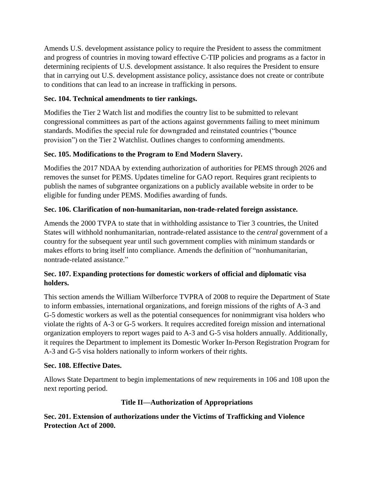Amends U.S. development assistance policy to require the President to assess the commitment and progress of countries in moving toward effective C-TIP policies and programs as a factor in determining recipients of U.S. development assistance. It also requires the President to ensure that in carrying out U.S. development assistance policy, assistance does not create or contribute to conditions that can lead to an increase in trafficking in persons.

# **Sec. 104. Technical amendments to tier rankings.**

Modifies the Tier 2 Watch list and modifies the country list to be submitted to relevant congressional committees as part of the actions against governments failing to meet minimum standards. Modifies the special rule for downgraded and reinstated countries ("bounce provision") on the Tier 2 Watchlist. Outlines changes to conforming amendments.

## **Sec. 105. Modifications to the Program to End Modern Slavery.**

Modifies the 2017 NDAA by extending authorization of authorities for PEMS through 2026 and removes the sunset for PEMS. Updates timeline for GAO report. Requires grant recipients to publish the names of subgrantee organizations on a publicly available website in order to be eligible for funding under PEMS. Modifies awarding of funds.

## **Sec. 106. Clarification of non-humanitarian, non-trade-related foreign assistance.**

Amends the 2000 TVPA to state that in withholding assistance to Tier 3 countries, the United States will withhold nonhumanitarian, nontrade-related assistance to the *central* government of a country for the subsequent year until such government complies with minimum standards or makes efforts to bring itself into compliance. Amends the definition of "nonhumanitarian, nontrade-related assistance."

## **Sec. 107. Expanding protections for domestic workers of official and diplomatic visa holders.**

This section amends the William Wilberforce TVPRA of 2008 to require the Department of State to inform embassies, international organizations, and foreign missions of the rights of A-3 and G-5 domestic workers as well as the potential consequences for nonimmigrant visa holders who violate the rights of A-3 or G-5 workers. It requires accredited foreign mission and international organization employers to report wages paid to A-3 and G-5 visa holders annually. Additionally, it requires the Department to implement its Domestic Worker In-Person Registration Program for A-3 and G-5 visa holders nationally to inform workers of their rights.

### **Sec. 108. Effective Dates.**

Allows State Department to begin implementations of new requirements in 106 and 108 upon the next reporting period.

### **Title II—Authorization of Appropriations**

# **Sec. 201. Extension of authorizations under the Victims of Trafficking and Violence Protection Act of 2000.**